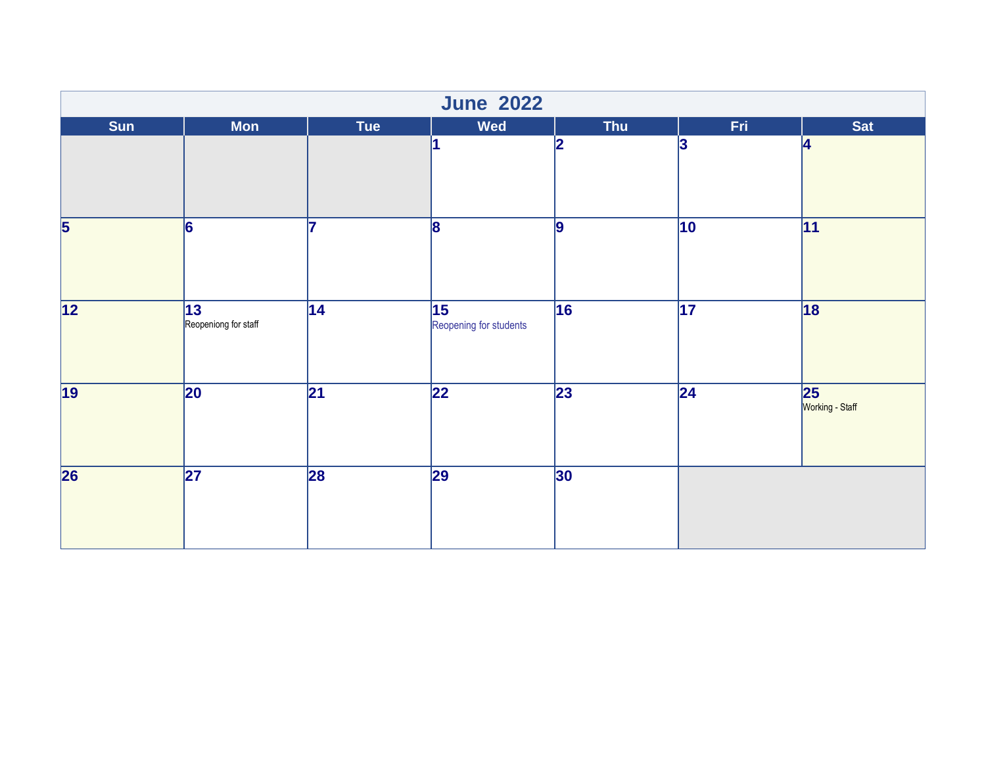| <b>June 2022</b>        |                                         |                 |                                           |                 |                 |                       |  |  |
|-------------------------|-----------------------------------------|-----------------|-------------------------------------------|-----------------|-----------------|-----------------------|--|--|
| <b>Sun</b>              | <b>Mon</b>                              | <b>Tue</b>      | Wed                                       | <b>Thu</b>      | Fri.            | <b>Sat</b>            |  |  |
|                         |                                         |                 | 1                                         | 2               | 3               | 14                    |  |  |
| $\overline{\mathbf{5}}$ | $\overline{6}$                          |                 | $\overline{8}$                            | 9               | $ 10\rangle$    | 11                    |  |  |
| $\overline{12}$         | $\overline{13}$<br>Reopeniong for staff | $\overline{14}$ | $\overline{15}$<br>Reopening for students | 16              | $\overline{17}$ | 18                    |  |  |
| $\overline{19}$         | 20                                      | $\overline{21}$ | $\overline{22}$                           | $\overline{23}$ | $\overline{24}$ | 25<br>Working - Staff |  |  |
| $\overline{26}$         | $\overline{27}$                         | 28              | 29                                        | 30              |                 |                       |  |  |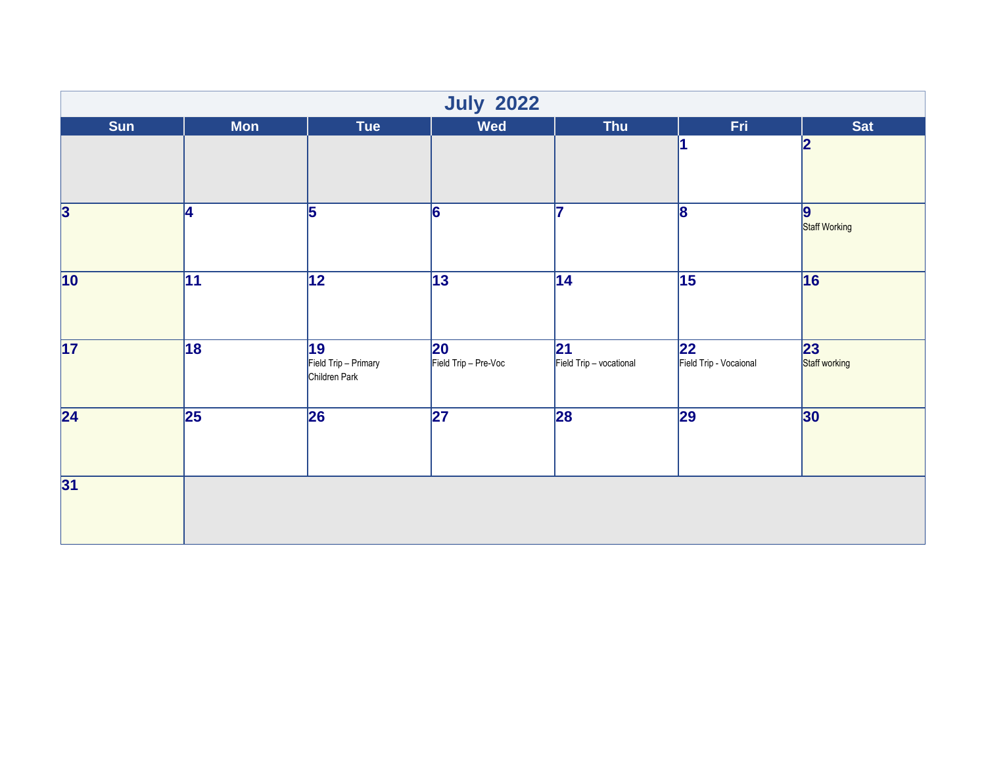| <b>July 2022</b>        |                 |                                             |                                      |                                |                               |                                   |  |  |
|-------------------------|-----------------|---------------------------------------------|--------------------------------------|--------------------------------|-------------------------------|-----------------------------------|--|--|
| <b>Sun</b>              | <b>Mon</b>      | <b>Tue</b>                                  | Wed                                  | <b>Thu</b>                     | Fri.                          | <b>Sat</b>                        |  |  |
|                         |                 |                                             |                                      |                                | l1                            | $\overline{\mathbf{2}}$           |  |  |
| $\overline{\mathbf{3}}$ | 14              | $\overline{5}$                              | $\overline{6}$                       | 5                              | $\overline{8}$                | $\boldsymbol{9}$<br>Staff Working |  |  |
| $\overline{10}$         | $\overline{11}$ | $\overline{12}$                             | $\overline{13}$                      | 14                             | $\overline{15}$               | 16                                |  |  |
| 17                      | 18              | 19<br>Field Trip - Primary<br>Children Park | $ 20\rangle$<br>Field Trip - Pre-Voc | 21 <br>Field Trip - vocational | 22 <br>Field Trip - Vocaional | 23 <br>Staff working              |  |  |
| $\overline{24}$         | $\overline{25}$ | 26                                          | 27                                   | 28                             | $\overline{29}$               | 30                                |  |  |
| 31                      |                 |                                             |                                      |                                |                               |                                   |  |  |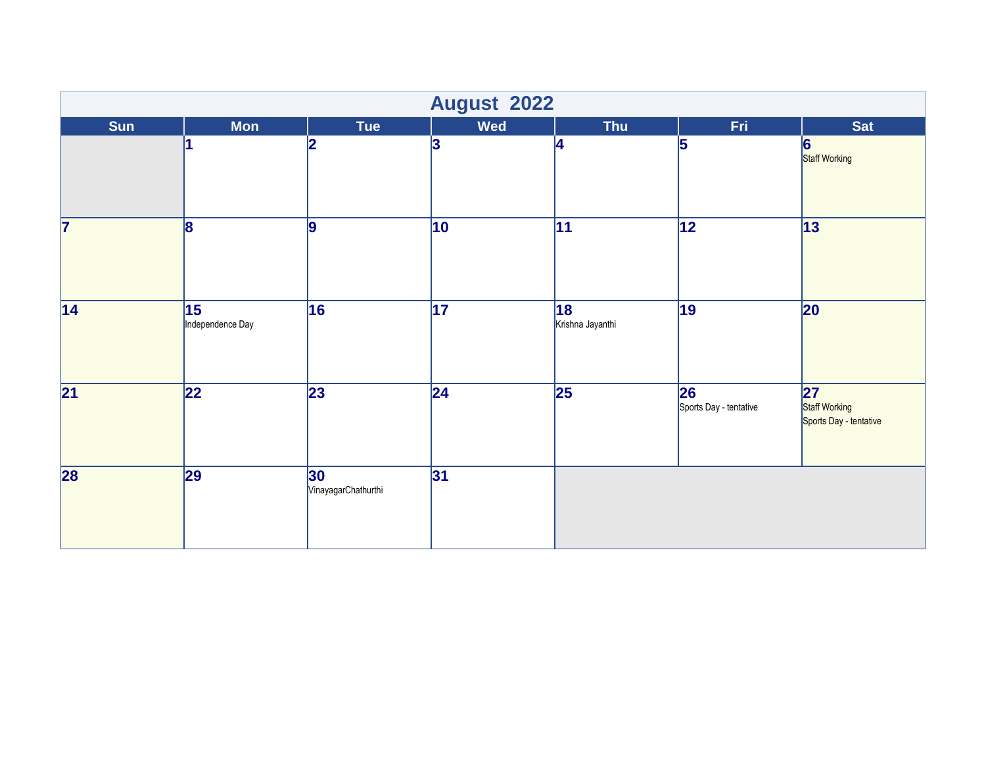|                 | <b>August 2022</b>                  |                            |                 |                        |                               |                                                |  |  |  |
|-----------------|-------------------------------------|----------------------------|-----------------|------------------------|-------------------------------|------------------------------------------------|--|--|--|
| <b>Sun</b>      | <b>Mon</b>                          | Tue                        | Wed             | <b>Thu</b>             | Fri.                          | <b>Sat</b>                                     |  |  |  |
|                 |                                     | $\mathbf{z}$               | 3               | 14                     | 5                             | 6<br>Staff Working                             |  |  |  |
| 7               | $\vert$ 8                           | $\vert$ 9                  | $ 10\rangle$    | $\overline{11}$        | $\overline{12}$               | 13                                             |  |  |  |
| 14              | $\overline{15}$<br>Independence Day | 16                         | $\overline{17}$ | 18<br>Krishna Jayanthi | $\overline{19}$               | 20                                             |  |  |  |
| $\overline{21}$ | $\overline{22}$                     | 23                         | 24              | $\overline{25}$        | 26 <br>Sports Day - tentative | 27 <br>Staff Working<br>Sports Day - tentative |  |  |  |
| 28              | 29                                  | 30 <br>VinayagarChathurthi | 31              |                        |                               |                                                |  |  |  |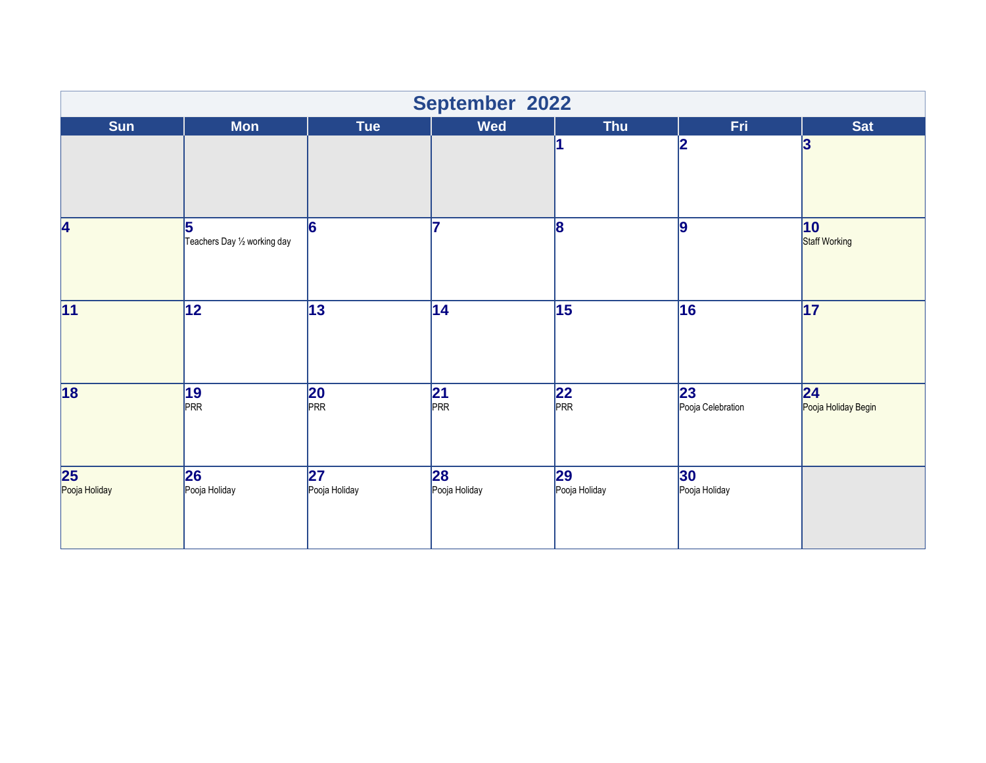|                                  | September 2022                    |                      |                         |                        |                                      |                                        |  |  |
|----------------------------------|-----------------------------------|----------------------|-------------------------|------------------------|--------------------------------------|----------------------------------------|--|--|
| <b>Sun</b>                       | <b>Mon</b>                        | <b>Tue</b>           | <b>Wed</b>              | <b>Thu</b>             | Fri                                  | <b>Sat</b>                             |  |  |
|                                  |                                   |                      |                         |                        | 2                                    | 3                                      |  |  |
| 4                                | 5<br>Teachers Day 1/2 working day | 6                    | 17                      | 18                     | 9                                    | 10<br>Staff Working                    |  |  |
| 11                               | $\overline{12}$                   | 13                   | 14                      | 15                     | 16                                   | 17                                     |  |  |
| 18                               | $ 19\rangle$<br>PRR               | $20$<br>PRR          | $\sqrt{\frac{21}{PRR}}$ | $\overline{22}$<br>PRR | $\overline{23}$<br>Pooja Celebration | $\overline{24}$<br>Pooja Holiday Begin |  |  |
| $\overline{25}$<br>Pooja Holiday | 26<br>Pooja Holiday               | 27 <br>Pooja Holiday | 28<br>Pooja Holiday     | 29 <br>Pooja Holiday   | 30 <br>Pooja Holiday                 |                                        |  |  |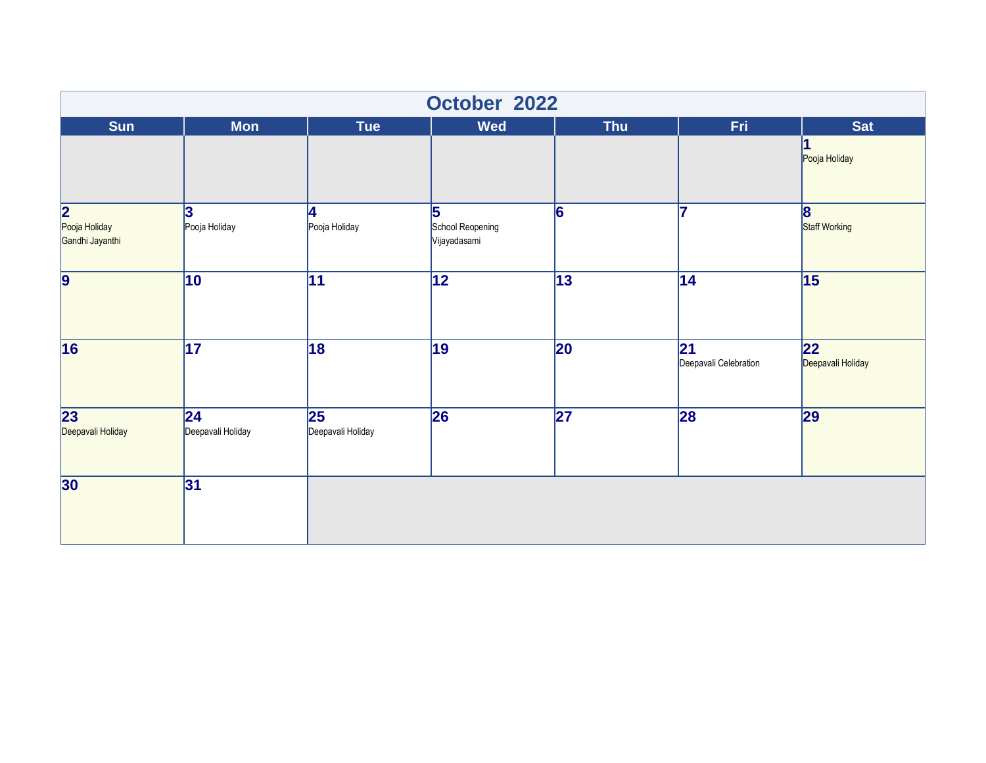|                                       | October 2022             |                                               |                                       |                          |                             |                                   |  |  |  |
|---------------------------------------|--------------------------|-----------------------------------------------|---------------------------------------|--------------------------|-----------------------------|-----------------------------------|--|--|--|
| <b>Sun</b>                            | <b>Mon</b>               | <b>Tue</b>                                    | <b>Wed</b>                            | <b>Thu</b>               | Fri                         | <b>Sat</b>                        |  |  |  |
|                                       |                          |                                               |                                       |                          |                             | Pooja Holiday                     |  |  |  |
| 2<br>Pooja Holiday<br>Gandhi Jayanthi | 3<br>Pooja Holiday       | 4<br>Pooja Holiday                            | 5<br>School Reopening<br>Vijayadasami | 6                        |                             | 8<br>Staff Working                |  |  |  |
| $\overline{9}$                        | 10                       | 11                                            | $\overline{12}$                       | $\overline{13}$          | 14                          | 15                                |  |  |  |
| $\overline{16}$                       | $\overline{17}$          | 18                                            | 19                                    | 20                       | 21<br>Deepavali Celebration | $ 22\rangle$<br>Deepavali Holiday |  |  |  |
| $\overline{23}$<br>Deepavali Holiday  | 24 <br>Deepavali Holiday | $\overline{\mathbf{25}}$<br>Deepavali Holiday | 26                                    | $\overline{\mathbf{27}}$ | 28                          | 29                                |  |  |  |
| 30                                    | 31                       |                                               |                                       |                          |                             |                                   |  |  |  |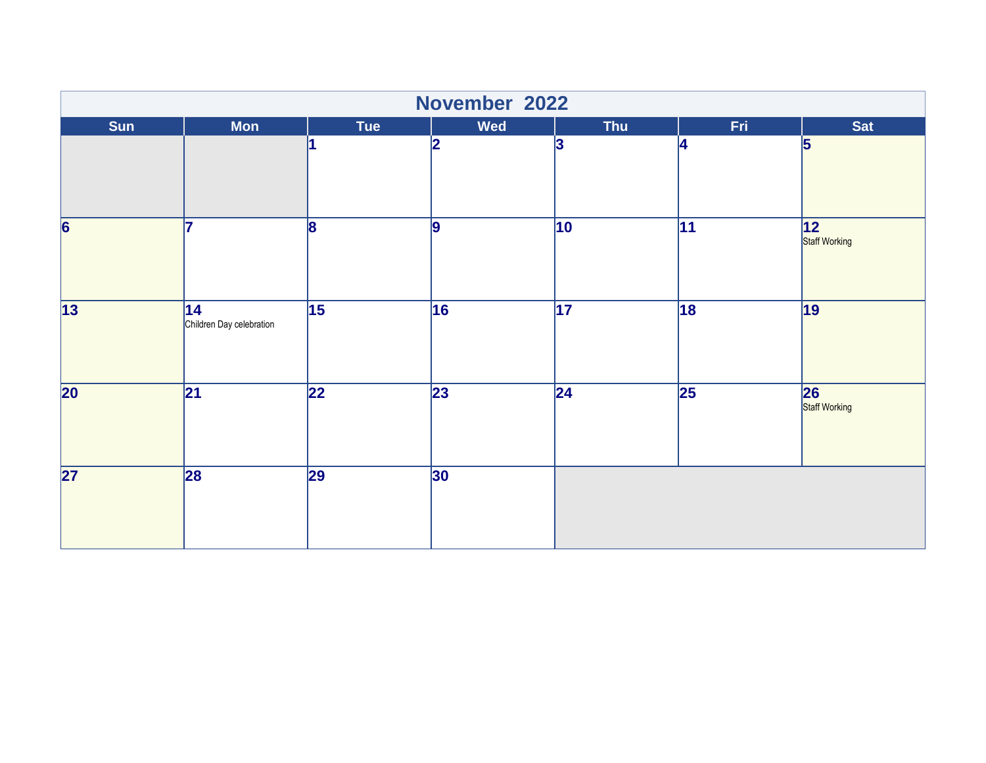|                 | November 2022                  |                 |                 |                 |                 |                      |  |  |
|-----------------|--------------------------------|-----------------|-----------------|-----------------|-----------------|----------------------|--|--|
| <b>Sun</b>      | <b>Mon</b>                     | <b>Tue</b>      | Wed             | <b>Thu</b>      | Fri.            | Sat                  |  |  |
|                 |                                |                 | 2               | 3               | 4               | 5                    |  |  |
| $\overline{6}$  | 17                             | 8               | $\overline{9}$  | $ 10\rangle$    | 11              | 12 <br>Staff Working |  |  |
| $\overline{13}$ | 14<br>Children Day celebration | $\overline{15}$ | 16              | $\overline{17}$ | 18              | 19                   |  |  |
| $\overline{20}$ | $\overline{21}$                | $\overline{22}$ | $\overline{23}$ | $\overline{24}$ | $\overline{25}$ | 26<br>Staff Working  |  |  |
| $\overline{27}$ | 28                             | 29              | 30              |                 |                 |                      |  |  |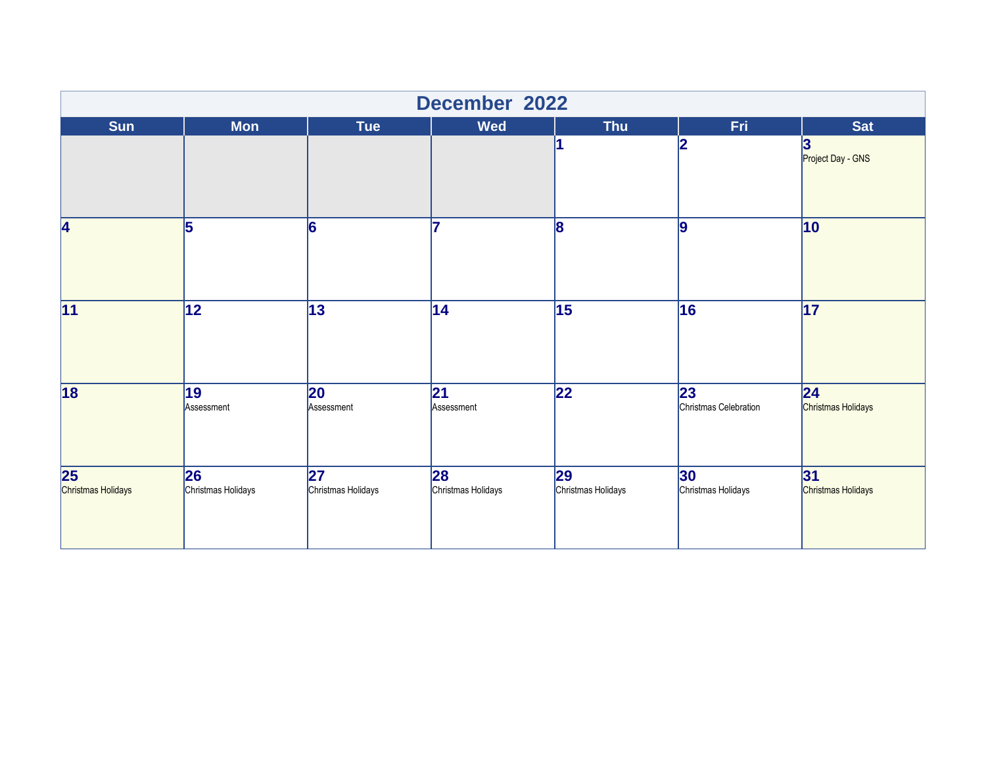| December 2022                         |                               |                            |                               |                           |                             |                                       |  |
|---------------------------------------|-------------------------------|----------------------------|-------------------------------|---------------------------|-----------------------------|---------------------------------------|--|
| <b>Sun</b>                            | <b>Mon</b>                    | <b>Tue</b>                 | <b>Wed</b>                    | <b>Thu</b>                | Fri.                        | <b>Sat</b>                            |  |
|                                       |                               |                            |                               |                           | 2                           | $\bf{3}$<br>Project Day - GNS         |  |
| 4                                     | 5                             | 6                          | 17                            | 18                        | 9                           | $\overline{10}$                       |  |
| $\overline{11}$                       | $\overline{12}$               | 13                         | $\overline{14}$               | $\overline{15}$           | 16                          | $\overline{17}$                       |  |
| $\overline{18}$                       | $\overline{19}$<br>Assessment | $ 20\rangle$<br>Assessment | $\overline{21}$<br>Assessment | $\overline{22}$           | 23<br>Christmas Celebration | $\overline{24}$<br>Christmas Holidays |  |
| $\overline{25}$<br>Christmas Holidays | 26<br>Christmas Holidays      | 27 <br>Christmas Holidays  | 28<br>Christmas Holidays      | 29 <br>Christmas Holidays | 30 <br>Christmas Holidays   | 31<br>Christmas Holidays              |  |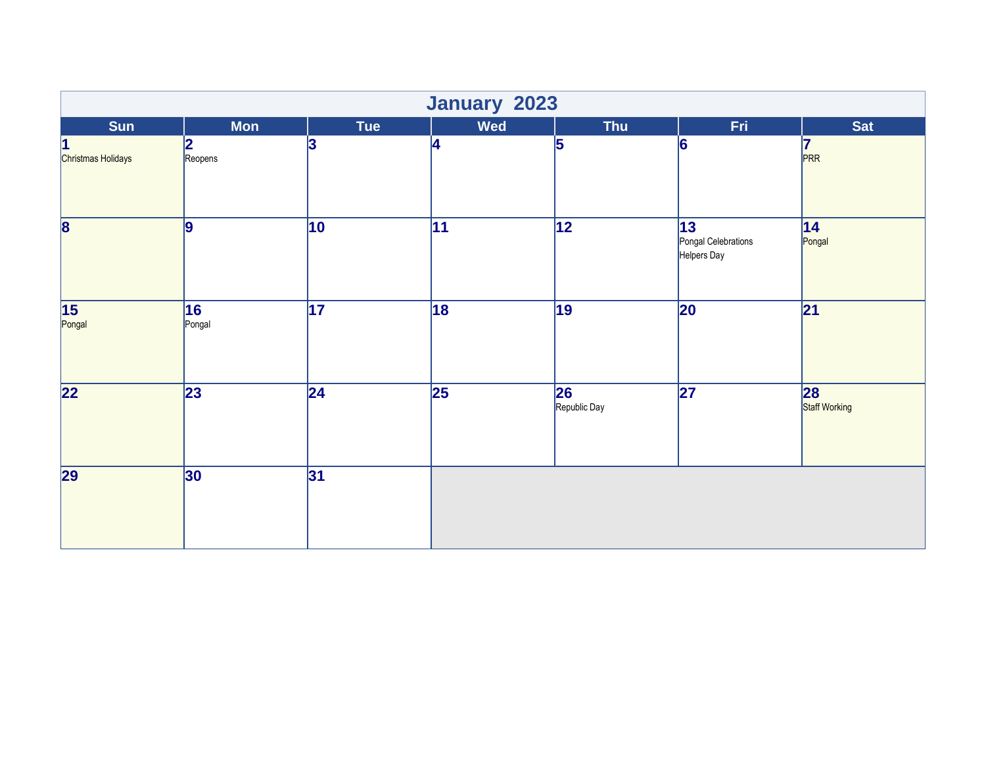|                                    | January 2023    |                 |                 |                    |                                          |                     |  |  |
|------------------------------------|-----------------|-----------------|-----------------|--------------------|------------------------------------------|---------------------|--|--|
| Sun                                | <b>Mon</b>      | <b>Tue</b>      | Wed             | Thu                | Fri.                                     | <b>Sat</b>          |  |  |
| 1<br>Christmas Holidays            | 2<br>Reopens    | 3               | 4               | 5                  | 6                                        | 7<br>PRR            |  |  |
| $\overline{\mathbf{8}}$            | 9               | $\overline{10}$ | $\overline{11}$ | $\overline{12}$    | 13<br>Pongal Celebrations<br>Helpers Day | 14 <br>Pongal       |  |  |
| $\overline{\mathbf{15}}$<br>Pongal | 16<br>Pongal    | $\overline{17}$ | 18              | $\overline{19}$    | 20                                       | 21                  |  |  |
| $\overline{22}$                    | $\overline{23}$ | $\overline{24}$ | $\overline{25}$ | 26<br>Republic Day | $\overline{27}$                          | 28<br>Staff Working |  |  |
| 29                                 | 30              | 31              |                 |                    |                                          |                     |  |  |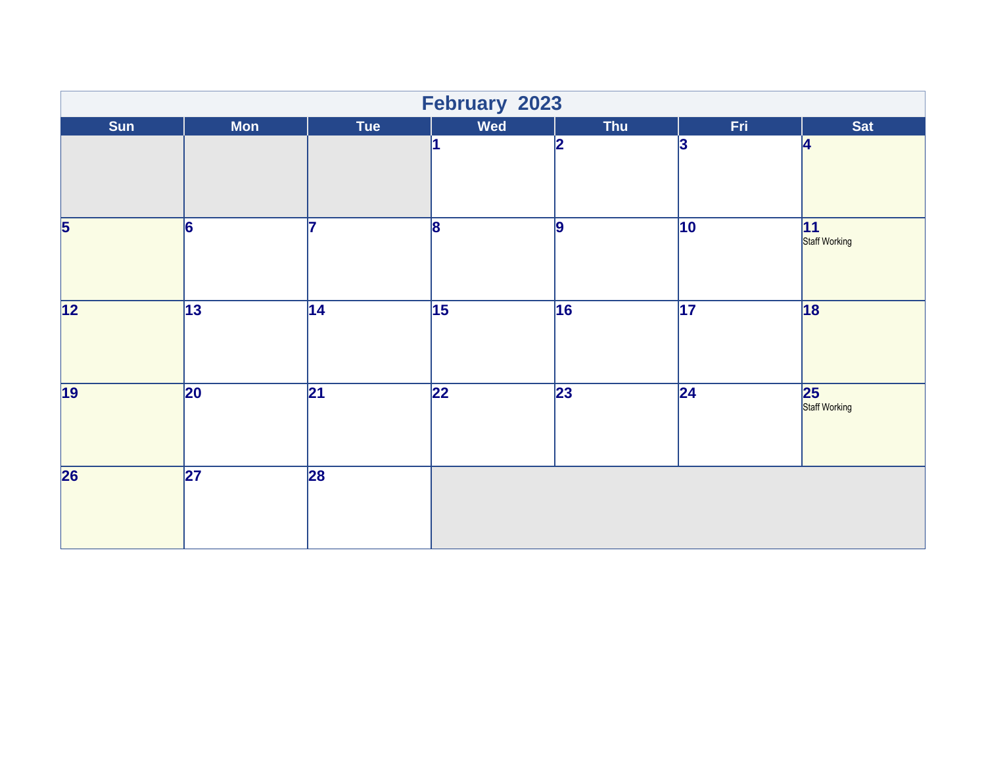|                                    | February 2023   |                 |                 |                 |                 |                      |  |
|------------------------------------|-----------------|-----------------|-----------------|-----------------|-----------------|----------------------|--|
| Sun                                | <b>Mon</b>      | Tue             | Wed             | <b>Thu</b>      | Fri.            | Sat                  |  |
|                                    |                 |                 | l1              | 12              | 3               | 4                    |  |
| $\overline{\overline{\mathbf{5}}}$ | $\overline{6}$  | 7               | $\overline{8}$  | $\vert$ 9       | $\overline{10}$ | 11 <br>Staff Working |  |
| $\overline{12}$                    | $\overline{13}$ | 14              | $\overline{15}$ | 16              | $\overline{17}$ | 18                   |  |
| $\overline{19}$                    | $ 20\rangle$    | $\overline{21}$ | $\overline{22}$ | $\overline{23}$ | $\overline{24}$ | 25<br>Staff Working  |  |
| $\overline{\mathbf{26}}$           | $\overline{27}$ | $\overline{28}$ |                 |                 |                 |                      |  |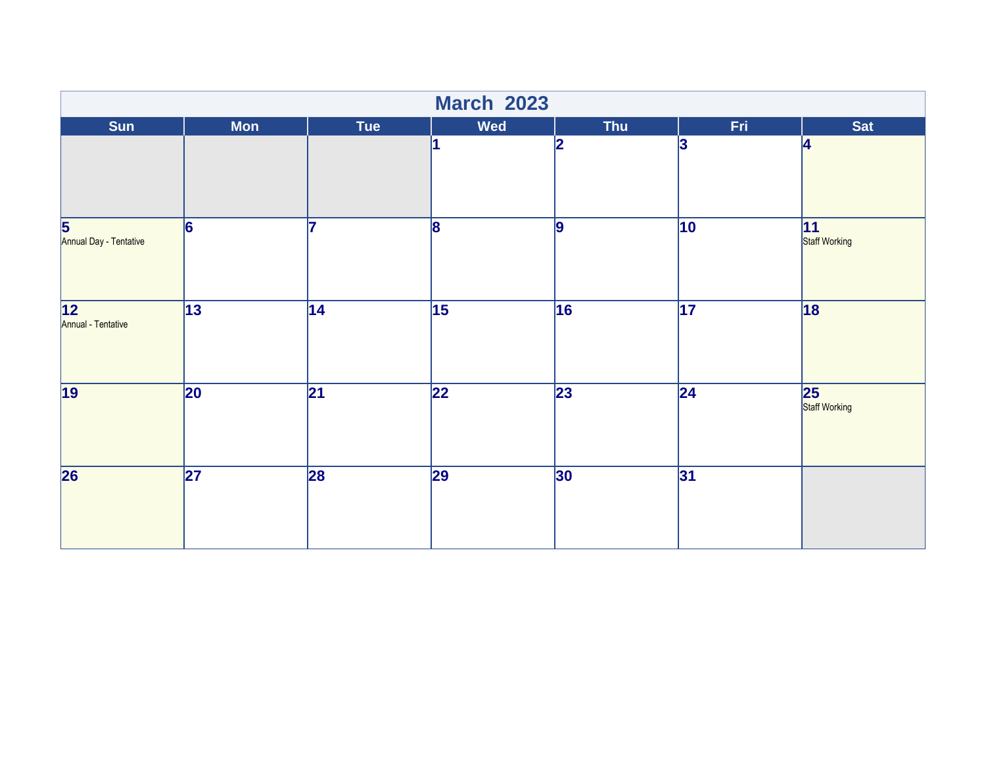|                                                   | <b>March 2023</b> |                 |                 |                 |                 |                     |  |  |
|---------------------------------------------------|-------------------|-----------------|-----------------|-----------------|-----------------|---------------------|--|--|
| <b>Sun</b>                                        | <b>Mon</b>        | <b>Tue</b>      | Wed             | <b>Thu</b>      | Fri.            | Sat                 |  |  |
|                                                   |                   |                 | 1               | 12              | 3               | 4                   |  |  |
| $\overline{\mathbf{5}}$<br>Annual Day - Tentative | $\overline{6}$    | 7               | $\overline{8}$  | 9               | $\overline{10}$ | 11<br>Staff Working |  |  |
| $\overline{12}$<br>Annual - Tentative             | $\overline{13}$   | $\overline{14}$ | $\overline{15}$ | 16              | $\overline{17}$ | 18                  |  |  |
| $\overline{19}$                                   | $\overline{20}$   | $\overline{21}$ | $\overline{22}$ | $\overline{23}$ | $\overline{24}$ | 25<br>Staff Working |  |  |
| $\overline{26}$                                   | $\overline{27}$   | 28              | 29              | 30              | 31              |                     |  |  |